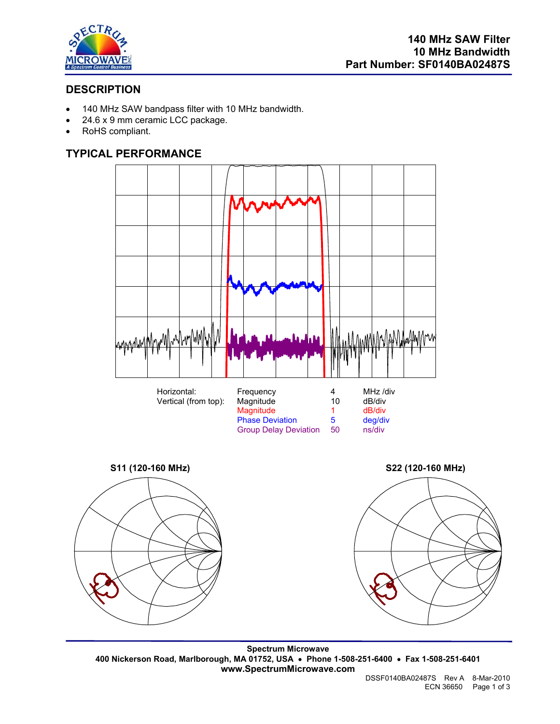

# **DESCRIPTION**

- 140 MHz SAW bandpass filter with 10 MHz bandwidth.
- 24.6 x 9 mm ceramic LCC package.
- RoHS compliant.

## **TYPICAL PERFORMANCE**









**Spectrum Microwave 400 Nickerson Road, Marlborough, MA 01752, USA** • **Phone 1-508-251-6400** • **Fax 1-508-251-6401 www.SpectrumMicrowave.com**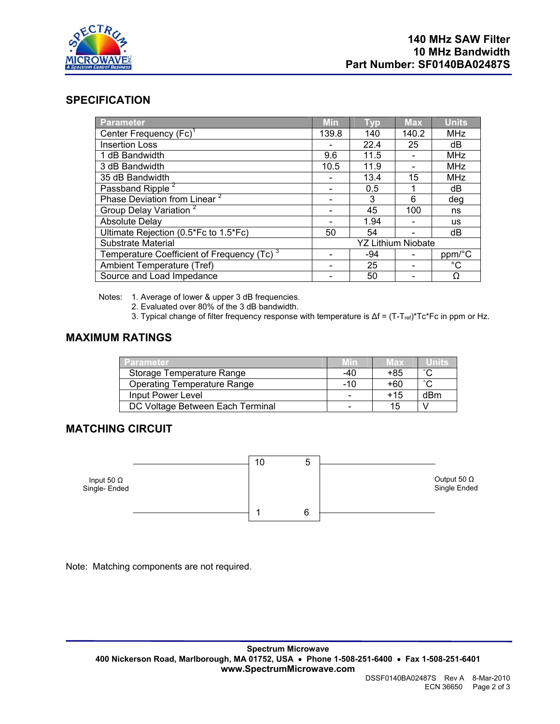

#### **SPECIFICATION**

| Parameter                                              | <b>Min</b>                | <b>Typ</b> | <b>Max</b> | <b>Units</b> |
|--------------------------------------------------------|---------------------------|------------|------------|--------------|
| Center Frequency (Fc) <sup>1</sup>                     | 139.8                     | 140        | 140.2      | <b>MHz</b>   |
| <b>Insertion Loss</b>                                  |                           | 22.4       | 25         | dB           |
| 1 dB Bandwidth                                         | 9.6                       | 11.5       |            | <b>MHz</b>   |
| 3 dB Bandwidth                                         | 10.5                      | 11.9       |            | <b>MHz</b>   |
| 35 dB Bandwidth                                        |                           | 13.4       | 15         | <b>MHz</b>   |
| Passband Ripple <sup>2</sup>                           |                           | 0.5        |            | dB           |
| Phase Deviation from Linear <sup>2</sup>               |                           | 3          | 6          | deg          |
| Group Delay Variation <sup>2</sup>                     |                           | 45         | 100        | ns           |
| <b>Absolute Delay</b>                                  |                           | 1.94       |            | <b>us</b>    |
| Ultimate Rejection (0.5*Fc to 1.5*Fc)                  | 50                        | 54         |            | dB           |
| Substrate Material                                     | <b>YZ Lithium Niobate</b> |            |            |              |
| Temperature Coefficient of Frequency (Tc) <sup>3</sup> |                           | -94        |            | ppm/°C       |
| Ambient Temperature (Tref)                             |                           | 25         |            | $^{\circ}C$  |
| Source and Load Impedance                              |                           | 50         |            | Ω            |

Notes: 1. Average of lower & upper 3 dB frequencies.

2. Evaluated over 80% of the 3 dB bandwidth.

3. Typical change of filter frequency response with temperature is Δf = (T-T<sub>ref</sub>)\*Tc\*Fc in ppm or Hz.

#### **MAXIMUM RATINGS**

| <b>Parameter</b>                   | <b>Min</b> | Max   | lliniis |
|------------------------------------|------------|-------|---------|
| Storage Temperature Range          | $-40$      | +85   | $\sim$  |
| <b>Operating Temperature Range</b> | -10        | +60   | $\sim$  |
| Input Power Level                  |            | $+15$ | dBm     |
| DC Voltage Between Each Terminal   |            | 15    |         |

## **MATCHING CIRCUIT**



Note: Matching components are not required.